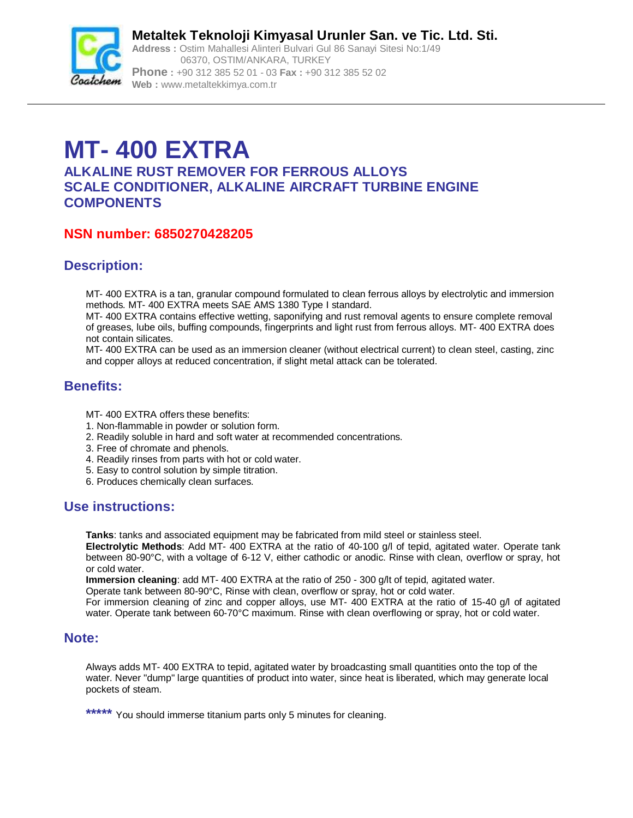

**Metaltek Teknoloji Kimyasal Urunler San. ve Tic. Ltd. Sti. Address :** Ostim Mahallesi Alinteri Bulvari Gul 86 Sanayi Sitesi No:1/49 06370, OSTIM/ANKARA, TURKEY **Phone :** +90 312 385 52 01 - 03 **Fax :** +90 312 385 52 02 **Web :** [www.metaltekkimya.com.tr](http://www.metaltekkimya.com.tr)

# **MT- 400 EXTRA**

**ALKALINE RUST REMOVER FOR FERROUS ALLOYS SCALE CONDITIONER, ALKALINE AIRCRAFT TURBINE ENGINE COMPONENTS**

# **NSN number: 6850270428205**

# **Description:**

MT- 400 EXTRA is a tan, granular compound formulated to clean ferrous alloys by electrolytic and immersion methods. MT- 400 EXTRA meets SAE AMS 1380 Type I standard.

MT- 400 EXTRA contains effective wetting, saponifying and rust removal agents to ensure complete removal of greases, lube oils, buffing compounds, fingerprints and light rust from ferrous alloys. MT- 400 EXTRA does not contain silicates.

MT- 400 EXTRA can be used as an immersion cleaner (without electrical current) to clean steel, casting, zinc and copper alloys at reduced concentration, if slight metal attack can be tolerated.

## **Benefits:**

MT- 400 EXTRA offers these benefits:

- 1. Non-flammable in powder or solution form.
- 2. Readily soluble in hard and soft water at recommended concentrations.
- 3. Free of chromate and phenols.
- 4. Readily rinses from parts with hot or cold water.
- 5. Easy to control solution by simple titration.
- 6. Produces chemically clean surfaces.

#### **Use instructions:**

**Tanks**: tanks and associated equipment may be fabricated from mild steel or stainless steel.

**Electrolytic Methods**: Add MT- 400 EXTRA at the ratio of 40-100 g/l of tepid, agitated water. Operate tank between 80-90°C, with a voltage of 6-12 V, either cathodic or anodic. Rinse with clean, overflow or spray, hot or cold water.

**Immersion cleaning**: add MT- 400 EXTRA at the ratio of 250 - 300 g/lt of tepid, agitated water.

Operate tank between 80-90°C, Rinse with clean, overflow or spray, hot or cold water.

For immersion cleaning of zinc and copper alloys, use MT- 400 EXTRA at the ratio of 15-40 g/l of agitated water. Operate tank between 60-70°C maximum. Rinse with clean overflowing or spray, hot or cold water.

#### **Note:**

Always adds MT- 400 EXTRA to tepid, agitated water by broadcasting small quantities onto the top of the water. Never "dump" large quantities of product into water, since heat is liberated, which may generate local pockets of steam.

**\*\*\*\*\*** You should immerse titanium parts only 5 minutes for cleaning.